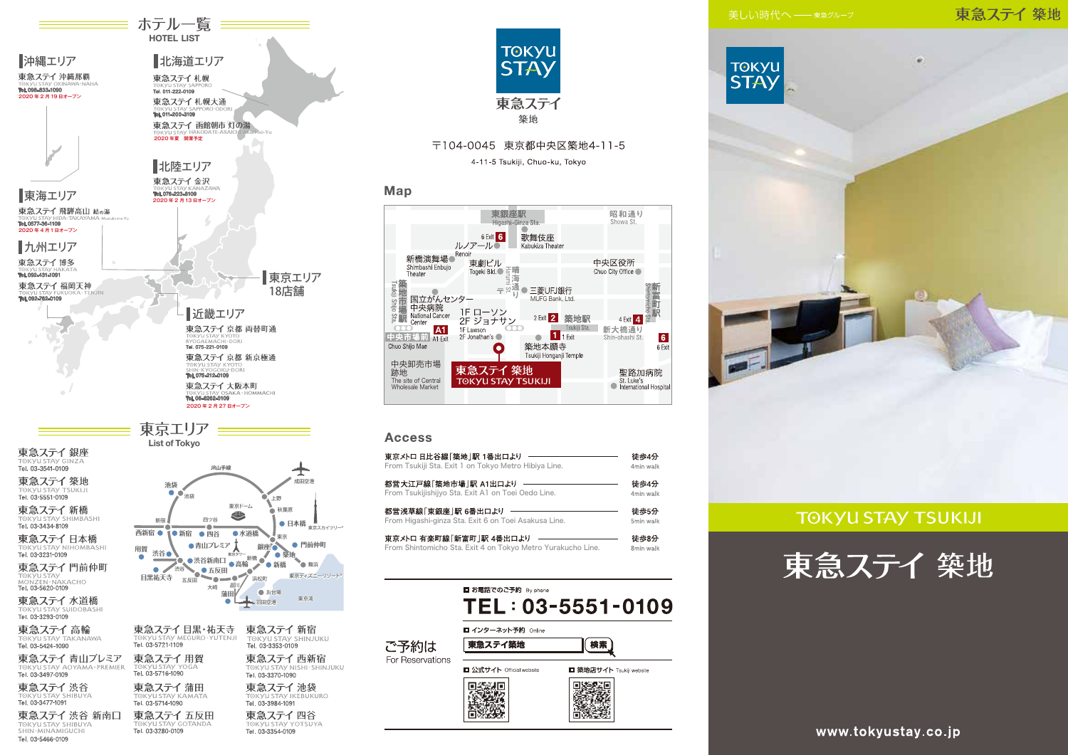### 東急ステイ築地



# **TOKYU STAY TSUKIJI**





東急ステイ 蒲田 Tel. 03-5714-1090 東急ステイ五反田

Tel. 03-3280-0109

東急ステイ渋谷

TOKYU STAY SHIBUYA

東急ステイ 渋谷 新南口

a ד⇒ 1,000 cm<br>1091–3477 Tel. 03

Tel. 03-5466-0109

東急ステイ 新宿 **SHINJUKU** 東急ステイ 西新宿 TOKYU STAY NISHI-SHINJUKU 東急ステイ池袋 **GKVILSTAV IKERLIKLIRO** Tel. 03-3984-1091 東急ステイ四谷 Tel. 03-3354-0109



# 〒104-0045 東京都中央区築地4-11-5

4-11-5 Tsukiji, Chuo-ku, Tokyo

#### Map



#### **Access**

| 東京メトロ 日比谷線「築地  駅 1番出口より                                     | 徒歩4分      |
|-------------------------------------------------------------|-----------|
| From Tsukiji Sta. Exit 1 on Tokyo Metro Hibiya Line.        | 4min walk |
| 都営大江戸線「築地市場  駅 A1出口より                                       | 徒歩4分      |
| From Tsukijishijyo Sta. Exit A1 on Toei Oedo Line.          | 4min walk |
| 都営浅草線「東銀座」駅 6番出口より                                          | 徒歩5分      |
| From Higashi-ginza Sta. Exit 6 on Toei Asakusa Line.        | 5min walk |
| 東京メトロ 有楽町線「新富町  駅 4番出口より                                    | 徒歩8分      |
| From Shintomicho Sta. Exit 4 on Tokyo Metro Yurakucho Line. | 8min walk |